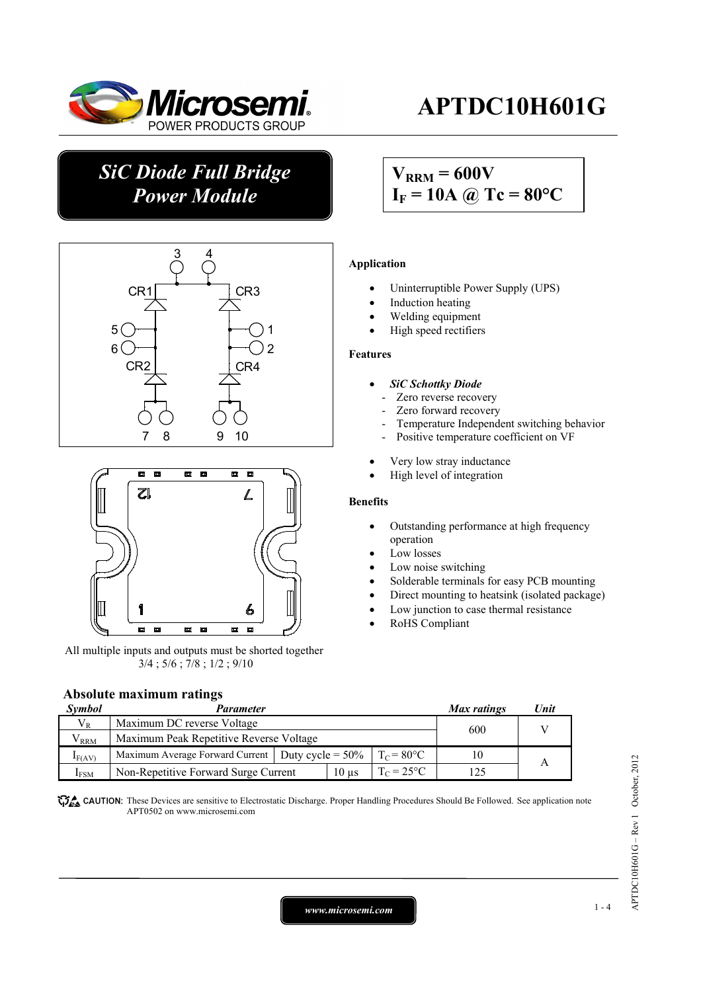

# **APTDC10H601G**

## *SiC Diode Full Bridge Power Module*





All multiple inputs and outputs must be shorted together 3/4 ; 5/6 ; 7/8 ; 1/2 ; 9/10

## **Absolute maximum ratings**

#### *Max ratings Unit Max ratings Unit*  $V_R$  Maximum DC reverse Voltage  $V_{RRM}$  Maximum Peak Repetitive Reverse Voltage 600 V  $I_{F(AV)}$  Maximum Average Forward Current Duty cycle = 50%  $T_{C} = 80^{\circ}$ C 10  $I_{FSM}$  Non-Repetitive Forward Surge Current 10 µs  $T_c = 25^{\circ}C$  125 A

**These** CAUTION: These Devices are sensitive to Electrostatic Discharge. Proper Handling Procedures Should Be Followed. See application note APT0502 on www.microsemi.com

## $V_{\text{RRM}}$  = 600V  $I_F = 10A$  @ Tc = 80°C

### **Application**

- Uninterruptible Power Supply (UPS)
- Induction heating
- Welding equipment
- High speed rectifiers

### **Features**

- *SiC Schottky Diode* 
	- Zero reverse recovery
	- Zero forward recovery
	- Temperature Independent switching behavior
	- Positive temperature coefficient on VF
- Very low stray inductance
- High level of integration

### **Benefits**

- Outstanding performance at high frequency operation
- Low losses
- Low noise switching
- Solderable terminals for easy PCB mounting
- Direct mounting to heatsink (isolated package)
- Low junction to case thermal resistance
- RoHS Compliant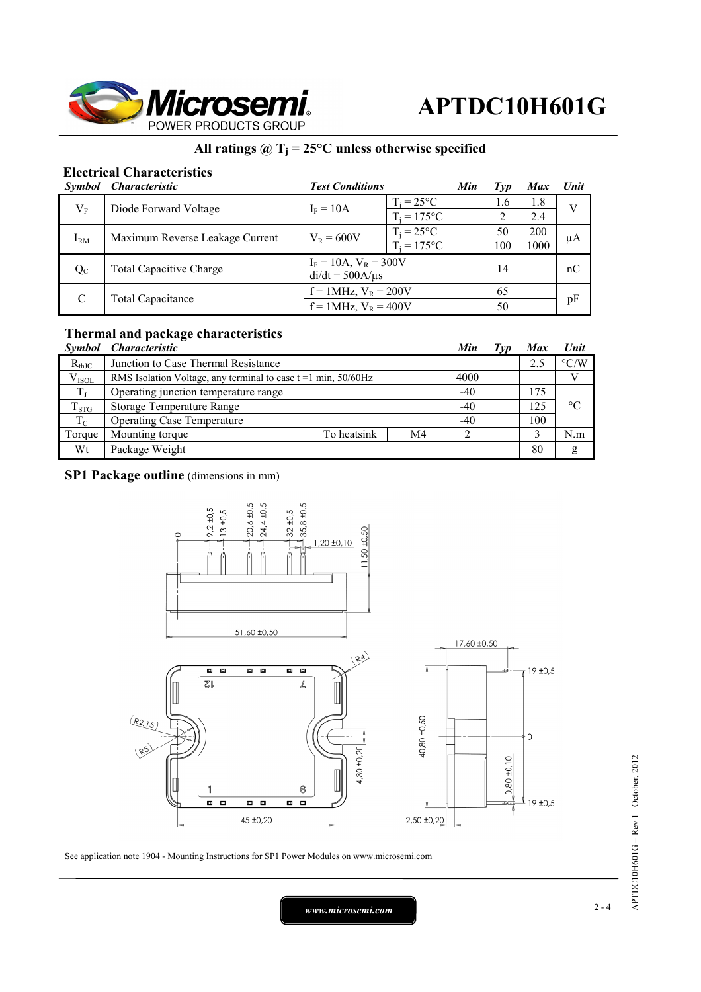

## **All ratings @ Tj = 25°C unless otherwise specified**

## **Electrical Characteristics**

| <i><b>Symbol</b></i>      | <i><b>Characteristic</b></i>    | <b>Test Conditions</b>                             | Min                 | Typ | <b>Max</b> | <b>Unit</b> |    |
|---------------------------|---------------------------------|----------------------------------------------------|---------------------|-----|------------|-------------|----|
| $\rm V_F$                 | Diode Forward Voltage           | $I_F = 10A$                                        | $T_i = 25^{\circ}C$ |     | 1.6        | 1.8         | V  |
|                           |                                 |                                                    | $T_i = 175$ °C      |     | 2          | 2.4         |    |
| $I_{RM}$                  | Maximum Reverse Leakage Current | $V_{R} = 600V$                                     | $T_i = 25^{\circ}C$ |     | 50         | 200         | μA |
|                           |                                 |                                                    | $T_i = 175$ °C      |     | 100        | 1000        |    |
| $Q_{C}$                   | <b>Total Capacitive Charge</b>  | $I_F = 10A$ , $V_R = 300V$<br>$di/dt = 500A/\mu s$ |                     |     | 14         |             | nC |
|                           |                                 |                                                    |                     |     |            |             |    |
| $f = 1$ MHz, $V_R = 400V$ |                                 |                                                    | 50                  |     |            |             |    |

## **Thermal and package characteristics**

|             | Symbol Characteristic                                               |             |    | Min   | Typ | <b>Max</b> | Unit               |
|-------------|---------------------------------------------------------------------|-------------|----|-------|-----|------------|--------------------|
| $R_{thJC}$  | Junction to Case Thermal Resistance                                 |             |    |       |     | 2.5        | $\rm ^{\circ} C/W$ |
| $V_{ISOL}$  | RMS Isolation Voltage, any terminal to case $t = 1$ min, $50/60$ Hz |             |    | 4000  |     |            |                    |
| $T_{\rm L}$ | Operating junction temperature range                                |             |    | $-40$ |     | 175        |                    |
| $T_{STG}$   | <b>Storage Temperature Range</b>                                    |             |    | $-40$ |     | 125        | $\rm ^{\circ}C$    |
| $T_{\rm C}$ | <b>Operating Case Temperature</b>                                   |             |    | $-40$ |     | 100        |                    |
| Torque      | Mounting torque                                                     | To heatsink | M4 |       |     |            | N.m                |
| Wt          | Package Weight                                                      |             |    |       |     | 80         | g                  |

### **SP1 Package outline** (dimensions in mm)



See application note 1904 - Mounting Instructions for SP1 Power Modules on www.microsemi.com

*www.microsemi.com* 2-4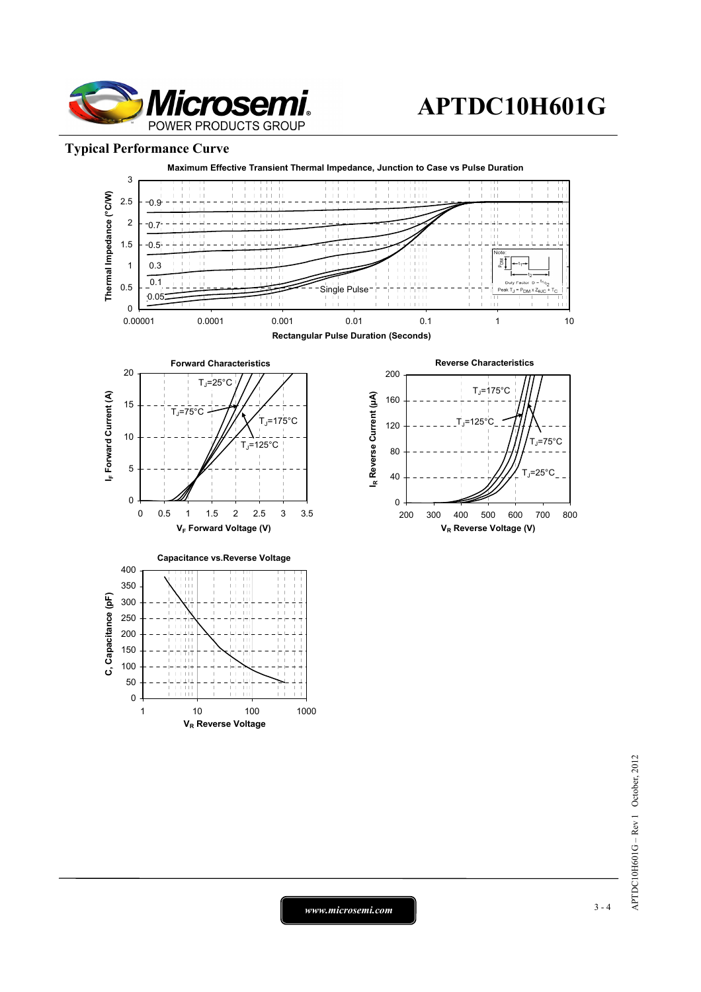

## **APTDC10H601G**

## **Typical Performance Curve**



 $APTDC10H601G - Rev1 October, 2012$ APTDC10H601G – Rev 1 October, 2012

*www.microsemi.com* 3-4